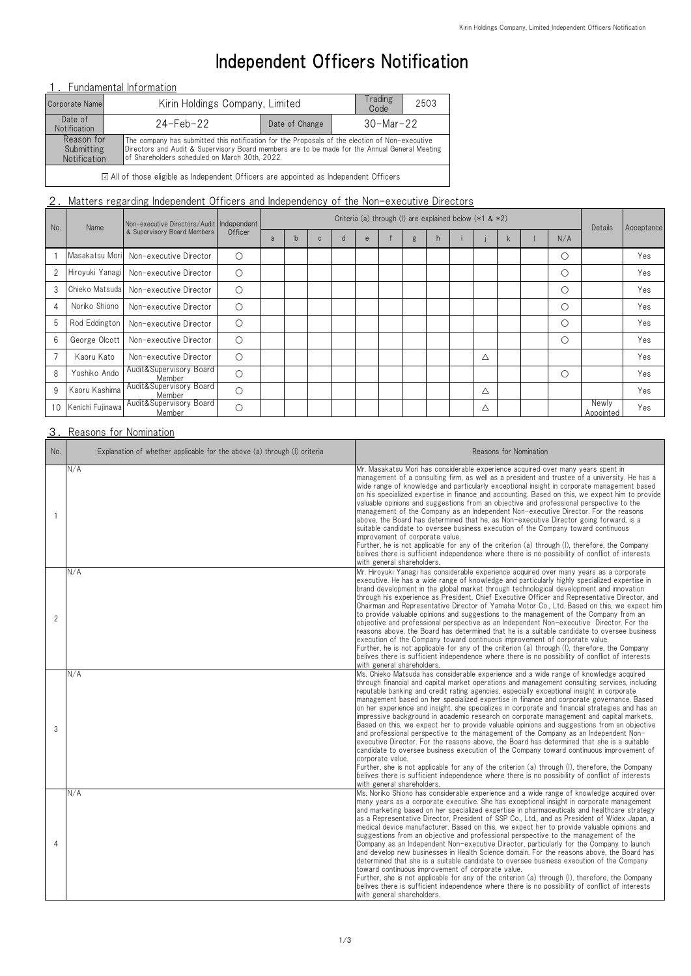| No.            | Name             | Non-executive Directors/Audit   Independent<br>& Supervisory Board Members | Officer    | Criteria (a) through (l) are explained below $(*1 & *2)$ |   |              |  |   |  |   |    |  |             | Details | Acceptance |                    |     |
|----------------|------------------|----------------------------------------------------------------------------|------------|----------------------------------------------------------|---|--------------|--|---|--|---|----|--|-------------|---------|------------|--------------------|-----|
|                |                  |                                                                            |            | a                                                        | b | $\mathsf{C}$ |  | e |  | g | n. |  |             | k       | N/A        |                    |     |
|                |                  | Masakatsu Mori Non-executive Director                                      | $\bigcirc$ |                                                          |   |              |  |   |  |   |    |  |             |         | $\bigcirc$ |                    | Yes |
| $\overline{2}$ |                  | Hiroyuki Yanagi Non-executive Director                                     | $\bigcirc$ |                                                          |   |              |  |   |  |   |    |  |             |         | $\bigcirc$ |                    | Yes |
| 3              |                  | Chieko Matsuda Non-executive Director                                      | $\bigcirc$ |                                                          |   |              |  |   |  |   |    |  |             |         | $\circ$    |                    | Yes |
| $\overline{4}$ | Noriko Shiono    | Non-executive Director                                                     | $\bigcirc$ |                                                          |   |              |  |   |  |   |    |  |             |         | $\bigcirc$ |                    | Yes |
| 5              | Rod Eddington    | Non-executive Director                                                     | $\bigcirc$ |                                                          |   |              |  |   |  |   |    |  |             |         | $\circ$    |                    | Yes |
| $6\,$          | George Olcott    | Non-executive Director                                                     | $\bigcirc$ |                                                          |   |              |  |   |  |   |    |  |             |         | $\circ$    |                    | Yes |
| $\overline{7}$ | Kaoru Kato       | Non-executive Director                                                     | $\bigcirc$ |                                                          |   |              |  |   |  |   |    |  | Δ           |         |            |                    | Yes |
| 8              | Yoshiko Ando     | Audit&Supervisory Board<br>Member                                          | $\circ$    |                                                          |   |              |  |   |  |   |    |  |             |         | $\bigcirc$ |                    | Yes |
| 9              | Kaoru Kashima    | Audit&Supervisory Board<br>Member                                          | $\bigcirc$ |                                                          |   |              |  |   |  |   |    |  | $\triangle$ |         |            |                    | Yes |
| 10             | Kenichi Fujinawa | Audit&Supervisory Board<br>Member                                          | $\bigcirc$ |                                                          |   |              |  |   |  |   |    |  | Δ           |         |            | Newly<br>Appointed | Yes |

## 3. Reasons for Nomination

# Independent Officers Notification

## 1. Fundamental Information

| No.            | Explanation of whether applicable for the above (a) through (I) criteria | Reasons for Nomination                                                                                                                                                                                                                                                                                                                                                                                                                                                                                                                                                                                                                                                                                                                                                                                                                                                                                                                                                                                                                                                                                                                                                                                                |
|----------------|--------------------------------------------------------------------------|-----------------------------------------------------------------------------------------------------------------------------------------------------------------------------------------------------------------------------------------------------------------------------------------------------------------------------------------------------------------------------------------------------------------------------------------------------------------------------------------------------------------------------------------------------------------------------------------------------------------------------------------------------------------------------------------------------------------------------------------------------------------------------------------------------------------------------------------------------------------------------------------------------------------------------------------------------------------------------------------------------------------------------------------------------------------------------------------------------------------------------------------------------------------------------------------------------------------------|
|                | N/A                                                                      | Mr. Masakatsu Mori has considerable experience acquired over many years spent in<br>management of a consulting firm, as well as a president and trustee of a university. He has a<br>wide range of knowledge and particularly exceptional insight in corporate management based<br>on his specialized expertise in finance and accounting. Based on this, we expect him to provide<br>valuable opinions and suggestions from an objective and professional perspective to the<br>management of the Company as an Independent Non-executive Director. For the reasons<br>above, the Board has determined that he, as Non-executive Director going forward, is a<br>suitable candidate to oversee business execution of the Company toward continuous<br>improvement of corporate value.<br>Further, he is not applicable for any of the criterion (a) through (I), therefore, the Company<br>belives there is sufficient independence where there is no possibility of conflict of interests<br>with general shareholders.                                                                                                                                                                                             |
| $\overline{2}$ | N/A                                                                      | Mr. Hiroyuki Yanagi has considerable experience acquired over many years as a corporate<br>executive. He has a wide range of knowledge and particularly highly specialized expertise in<br>brand development in the global market through technological development and innovation<br>through his experience as President, Chief Executive Officer and Representative Director, and<br>Chairman and Representative Director of Yamaha Motor Co., Ltd. Based on this, we expect him<br>to provide valuable opinions and suggestions to the management of the Company from an<br>objective and professional perspective as an Independent Non-executive Director. For the<br>reasons above, the Board has determined that he is a suitable candidate to oversee business<br>execution of the Company toward continuous improvement of corporate value.<br>Further, he is not applicable for any of the criterion (a) through (I), therefore, the Company<br>belives there is sufficient independence where there is no possibility of conflict of interests<br>with general shareholders.                                                                                                                               |
| 3              | N/A                                                                      | Ms. Chieko Matsuda has considerable experience and a wide range of knowledge acquired<br>through financial and capital market operations and management consulting services, including<br>reputable banking and credit rating agencies, especially exceptional insight in corporate<br>management based on her specialized expertise in finance and corporate governance. Based<br>on her experience and insight, she specializes in corporate and financial strategies and has an<br>impressive background in academic research on corporate management and capital markets.<br>Based on this, we expect her to provide valuable opinions and suggestions from an objective<br>and professional perspective to the management of the Company as an Independent Non-<br>executive Director. For the reasons above, the Board has determined that she is a suitable<br>candidate to oversee business execution of the Company toward continuous improvement of<br>corporate value.<br>Further, she is not applicable for any of the criterion (a) through (I), therefore, the Company<br>belives there is sufficient independence where there is no possibility of conflict of interests<br>with general shareholders. |
| 4              | N/A                                                                      | Ms. Noriko Shiono has considerable experience and a wide range of knowledge acquired over<br>many years as a corporate executive. She has exceptional insight in corporate management<br>and marketing based on her specialized expertise in pharmaceuticals and healthcare strategy<br>as a Representative Director, President of SSP Co., Ltd., and as President of Widex Japan, a<br>medical device manufacturer. Based on this, we expect her to provide valuable opinions and<br>suggestions from an objective and professional perspective to the management of the<br>Company as an Independent Non-executive Director, particularly for the Company to launch<br>and develop new businesses in Health Science domain. For the reasons above, the Board has<br>determined that she is a suitable candidate to oversee business execution of the Company<br>toward continuous improvement of corporate value.<br>Further, she is not applicable for any of the criterion (a) through (I), therefore, the Company<br>belives there is sufficient independence where there is no possibility of conflict of interests<br>with general shareholders.                                                               |

| Corporate Name                                  | Kirin Holdings Company, Limited |                                                                                                                                                                                                                                                   | Trading<br>Code        | 2503 |  |  |  |  |  |
|-------------------------------------------------|---------------------------------|---------------------------------------------------------------------------------------------------------------------------------------------------------------------------------------------------------------------------------------------------|------------------------|------|--|--|--|--|--|
| Date of<br>Notification                         | 24-Feb-22                       | Date of Change                                                                                                                                                                                                                                    | $30 - \text{Mar} - 22$ |      |  |  |  |  |  |
| Reason for<br>Submitting<br><b>Notification</b> |                                 | The company has submitted this notification for the Proposals of the election of Non-executive<br>Directors and Audit & Supervisory Board members are to be made for the Annual General Meeting<br>of Shareholders scheduled on March 30th, 2022. |                        |      |  |  |  |  |  |
|                                                 |                                 |                                                                                                                                                                                                                                                   |                        |      |  |  |  |  |  |

All of those eligible as Independent Officers are appointed as Independent Officers

## 2. Matters regarding Independent Officers and Independency of the Non-executive Directors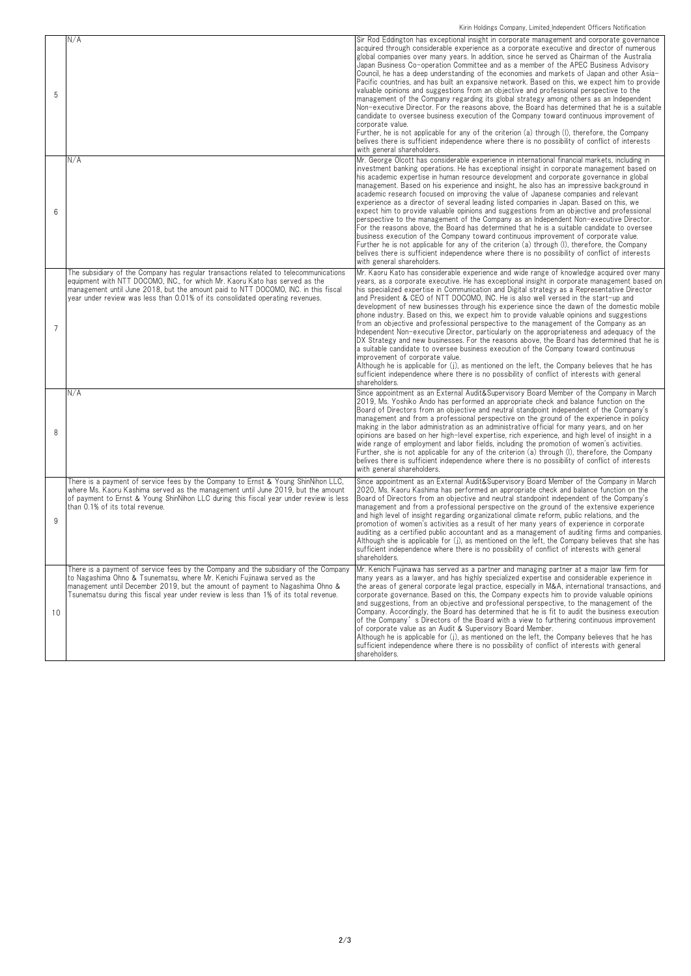| 5              | N/A                                                                                                                                                                                                                                                                                                                                        | Sir Rod Eddington has exceptional insight in corporate management and corporate governance<br>acquired through considerable experience as a corporate executive and director of numerous<br>global companies over many years. In addition, since he served as Chairman of the Australia<br>Japan Business Co-operation Committee and as a member of the APEC Business Advisory<br>Council, he has a deep understanding of the economies and markets of Japan and other Asia-<br>Pacific countries, and has built an expansive network. Based on this, we expect him to provide<br>valuable opinions and suggestions from an objective and professional perspective to the<br>management of the Company regarding its global strategy among others as an Independent<br>Non-executive Director. For the reasons above, the Board has determined that he is a suitable<br>candidate to oversee business execution of the Company toward continuous improvement of<br>corporate value.<br>Further, he is not applicable for any of the criterion (a) through (I), therefore, the Company<br>belives there is sufficient independence where there is no possibility of conflict of interests<br>with general shareholders. |
|----------------|--------------------------------------------------------------------------------------------------------------------------------------------------------------------------------------------------------------------------------------------------------------------------------------------------------------------------------------------|------------------------------------------------------------------------------------------------------------------------------------------------------------------------------------------------------------------------------------------------------------------------------------------------------------------------------------------------------------------------------------------------------------------------------------------------------------------------------------------------------------------------------------------------------------------------------------------------------------------------------------------------------------------------------------------------------------------------------------------------------------------------------------------------------------------------------------------------------------------------------------------------------------------------------------------------------------------------------------------------------------------------------------------------------------------------------------------------------------------------------------------------------------------------------------------------------------------------|
| 6              | N/A                                                                                                                                                                                                                                                                                                                                        | Mr. George Olcott has considerable experience in international financial markets, including in<br>investment banking operations. He has exceptional insight in corporate management based on<br>his academic expertise in human resource development and corporate governance in global<br>management. Based on his experience and insight, he also has an impressive background in<br>academic research focused on improving the value of Japanese companies and relevant<br>experience as a director of several leading listed companies in Japan. Based on this, we<br>expect him to provide valuable opinions and suggestions from an objective and professional<br>perspective to the management of the Company as an Independent Non-executive Director.<br>For the reasons above, the Board has determined that he is a suitable candidate to oversee<br>business execution of the Company toward continuous improvement of corporate value.<br>Further he is not applicable for any of the criterion (a) through (I), therefore, the Company<br>belives there is sufficient independence where there is no possibility of conflict of interests<br>with general shareholders.                                  |
| $\overline{7}$ | The subsidiary of the Company has regular transactions related to telecommunications<br>equipment with NTT DOCOMO, INC., for which Mr. Kaoru Kato has served as the<br>management until June 2018, but the amount paid to NTT DOCOMO, INC. in this fiscal<br>year under review was less than 0.01% of its consolidated operating revenues. | Mr. Kaoru Kato has considerable experience and wide range of knowledge acquired over many<br>years, as a corporate executive. He has exceptional insight in corporate management based on<br>his specialized expertise in Communication and Digital strategy as a Representative Director<br>and President & CEO of NTT DOCOMO, INC. He is also well versed in the start-up and<br>development of new businesses through his experience since the dawn of the domestic mobile<br>phone industry. Based on this, we expect him to provide valuable opinions and suggestions<br>from an objective and professional perspective to the management of the Company as an<br>Independent Non-executive Director, particularly on the appropriateness and adequacy of the<br>DX Strategy and new businesses. For the reasons above, the Board has determined that he is<br>a suitable candidate to oversee business execution of the Company toward continuous<br>improvement of corporate value.<br>Although he is applicable for (j), as mentioned on the left, the Company believes that he has<br>sufficient independence where there is no possibility of conflict of interests with general<br>shareholders.            |
| 8              | N/A                                                                                                                                                                                                                                                                                                                                        | Since appointment as an External Audit&Supervisory Board Member of the Company in March<br>2019, Ms. Yoshiko Ando has performed an appropriate check and balance function on the<br>Board of Directors from an objective and neutral standpoint independent of the Company's<br>management and from a professional perspective on the ground of the experience in policy<br>making in the labor administration as an administrative official for many years, and on her<br>opinions are based on her high-level expertise, rich experience, and high level of insight in a<br>wide range of employment and labor fields, including the promotion of women's activities.<br>Further, she is not applicable for any of the criterion (a) through (I), therefore, the Company<br>belives there is sufficient independence where there is no possibility of conflict of interests<br>with general shareholders.                                                                                                                                                                                                                                                                                                            |
| 9              | There is a payment of service fees by the Company to Ernst & Young ShinNihon LLC,<br>where Ms. Kaoru Kashima served as the management until June 2019, but the amount<br>of payment to Ernst & Young ShinNihon LLC during this fiscal year under review is less<br>than 0.1% of its total revenue.                                         | Since appointment as an External Audit&Supervisory Board Member of the Company in March<br>2020, Ms. Kaoru Kashima has performed an appropriate check and balance function on the<br>Board of Directors from an objective and neutral standpoint independent of the Company's<br>management and from a professional perspective on the ground of the extensive experience<br>and high level of insight regarding organizational climate reform, public relations, and the<br>promotion of women's activities as a result of her many years of experience in corporate<br>auditing as a certified public accountant and as a management of auditing firms and companies.<br>Although she is applicable for (j), as mentioned on the left, the Company believes that she has<br>sufficient independence where there is no possibility of conflict of interests with general<br>shareholders.                                                                                                                                                                                                                                                                                                                             |
| 10             | There is a payment of service fees by the Company and the subsidiary of the Company<br>to Nagashima Ohno & Tsunematsu, where Mr. Kenichi Fujinawa served as the<br>management until December 2019, but the amount of payment to Nagashima Ohno &<br>Tsunematsu during this fiscal year under review is less than 1% of its total revenue.  | Mr. Kenichi Fujinawa has served as a partner and managing partner at a major law firm for<br>many years as a lawyer, and has highly specialized expertise and considerable experience in<br>the areas of general corporate legal practice, especially in M&A, international transactions, and<br>corporate governance. Based on this, the Company expects him to provide valuable opinions<br>and suggestions, from an objective and professional perspective, to the management of the<br>Company. Accordingly, the Board has determined that he is fit to audit the business execution<br>of the Company's Directors of the Board with a view to furthering continuous improvement<br>of corporate value as an Audit & Supervisory Board Member.<br>Although he is applicable for $(j)$ , as mentioned on the left, the Company believes that he has<br>sufficient independence where there is no possibility of conflict of interests with general<br>shareholders.                                                                                                                                                                                                                                                 |